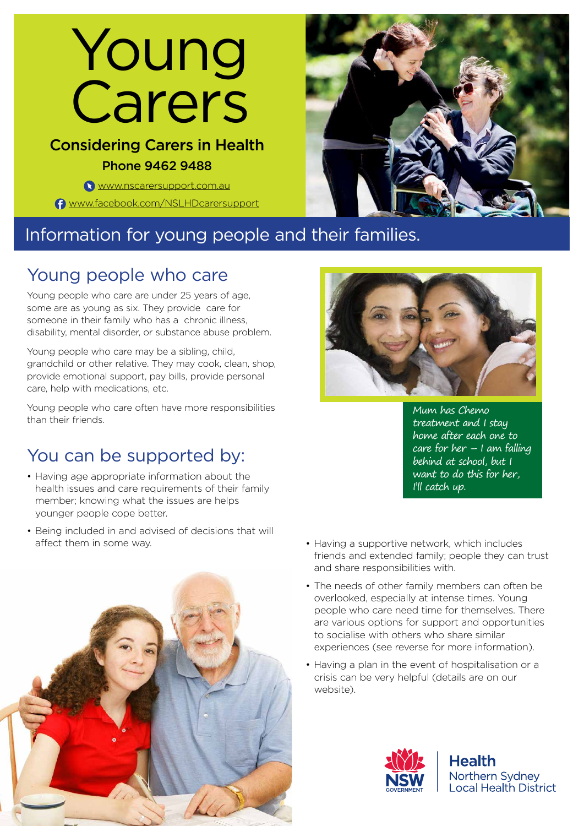# Young Carers

## Considering Carers in Health Phone 9462 9488

**WWW.nscarersupport.com.au** [www.facebook.com/NSLHDcarersupport](https://www.facebook.com/NSLHDcarersupport/)



# Information for young people and their families.

## Young people who care

Young people who care are under 25 years of age, some are as young as six. They provide care for someone in their family who has a chronic illness, disability, mental disorder, or substance abuse problem.

Young people who care may be a sibling, child, grandchild or other relative. They may cook, clean, shop, provide emotional support, pay bills, provide personal care, help with medications, etc.

Young people who care often have more responsibilities than their friends.

# You can be supported by:

- Having age appropriate information about the health issues and care requirements of their family member; knowing what the issues are helps younger people cope better.
- Being included in and advised of decisions that will affect them in some way. • **• Having a supportive network, which includes**



Mum has Chemo treatment and I stay home after each one to care for her  $-1$  am falling behind at school, but I want to do this for her, I'll catch up.

- friends and extended family; people they can trust and share responsibilities with.
- The needs of other family members can often be overlooked, especially at intense times. Young people who care need time for themselves. There are various options for support and opportunities to socialise with others who share similar experiences (see reverse for more information).
- Having a plan in the event of hospitalisation or a crisis can be very helpful (details are on our website).



**Health** Northern Sydney **Local Health District**